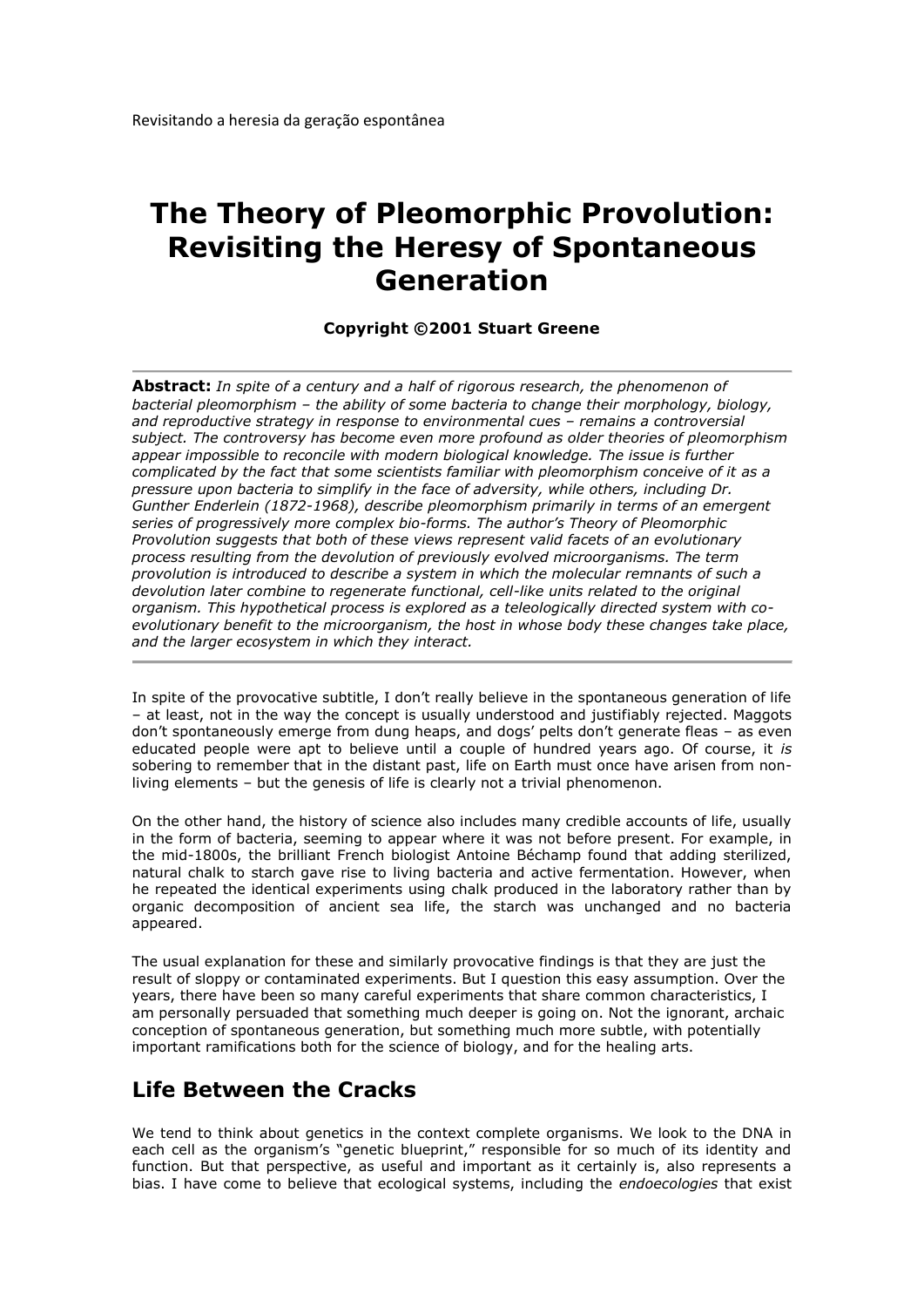# **The Theory of Pleomorphic Provolution: Revisiting the Heresy of Spontaneous Generation**

#### **Copyright ©2001 Stuart Greene**

**Abstract:** *In spite of a century and a half of rigorous research, the phenomenon of bacterial pleomorphism – the ability of some bacteria to change their morphology, biology, and reproductive strategy in response to environmental cues – remains a controversial subject. The controversy has become even more profound as older theories of pleomorphism appear impossible to reconcile with modern biological knowledge. The issue is further complicated by the fact that some scientists familiar with pleomorphism conceive of it as a pressure upon bacteria to simplify in the face of adversity, while others, including Dr. Gunther Enderlein (1872-1968), describe pleomorphism primarily in terms of an emergent series of progressively more complex bio-forms. The author's Theory of Pleomorphic Provolution suggests that both of these views represent valid facets of an evolutionary process resulting from the devolution of previously evolved microorganisms. The term provolution is introduced to describe a system in which the molecular remnants of such a devolution later combine to regenerate functional, cell-like units related to the original organism. This hypothetical process is explored as a teleologically directed system with coevolutionary benefit to the microorganism, the host in whose body these changes take place, and the larger ecosystem in which they interact.* 

In spite of the provocative subtitle, I don't really believe in the spontaneous generation of life – at least, not in the way the concept is usually understood and justifiably rejected. Maggots don't spontaneously emerge from dung heaps, and dogs' pelts don't generate fleas – as even educated people were apt to believe until a couple of hundred years ago. Of course, it *is* sobering to remember that in the distant past, life on Earth must once have arisen from nonliving elements – but the genesis of life is clearly not a trivial phenomenon.

On the other hand, the history of science also includes many credible accounts of life, usually in the form of bacteria, seeming to appear where it was not before present. For example, in the mid-1800s, the brilliant French biologist Antoine Béchamp found that adding sterilized, natural chalk to starch gave rise to living bacteria and active fermentation. However, when he repeated the identical experiments using chalk produced in the laboratory rather than by organic decomposition of ancient sea life, the starch was unchanged and no bacteria appeared.

The usual explanation for these and similarly provocative findings is that they are just the result of sloppy or contaminated experiments. But I question this easy assumption. Over the years, there have been so many careful experiments that share common characteristics, I am personally persuaded that something much deeper is going on. Not the ignorant, archaic conception of spontaneous generation, but something much more subtle, with potentially important ramifications both for the science of biology, and for the healing arts.

### **Life Between the Cracks**

We tend to think about genetics in the context complete organisms. We look to the DNA in each cell as the organism's "genetic blueprint," responsible for so much of its identity and function. But that perspective, as useful and important as it certainly is, also represents a bias. I have come to believe that ecological systems, including the *endoecologies* that exist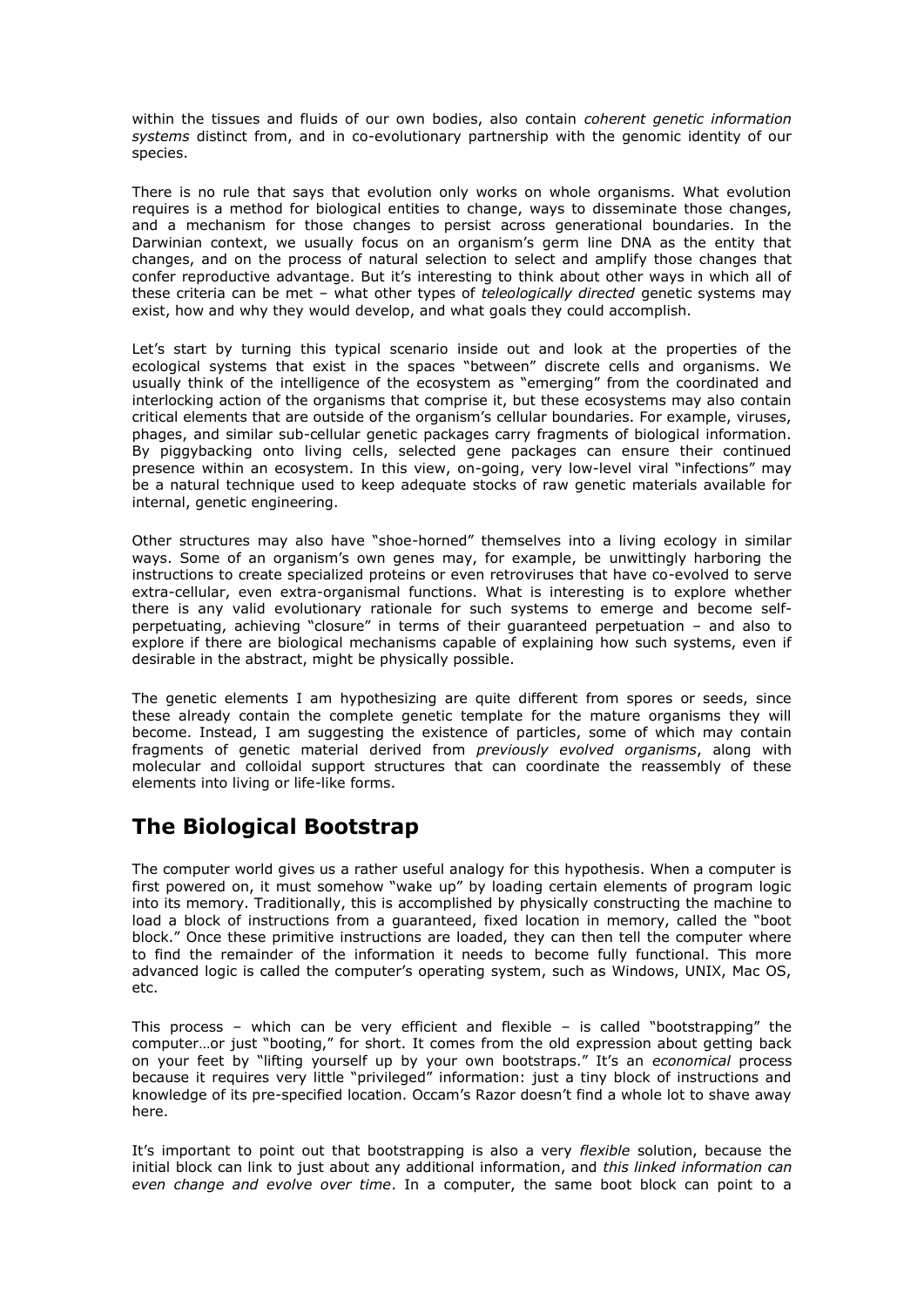within the tissues and fluids of our own bodies, also contain *coherent genetic information systems* distinct from, and in co-evolutionary partnership with the genomic identity of our species.

There is no rule that says that evolution only works on whole organisms. What evolution requires is a method for biological entities to change, ways to disseminate those changes, and a mechanism for those changes to persist across generational boundaries. In the Darwinian context, we usually focus on an organism's germ line DNA as the entity that changes, and on the process of natural selection to select and amplify those changes that confer reproductive advantage. But it's interesting to think about other ways in which all of these criteria can be met – what other types of *teleologically directed* genetic systems may exist, how and why they would develop, and what goals they could accomplish.

Let's start by turning this typical scenario inside out and look at the properties of the ecological systems that exist in the spaces "between" discrete cells and organisms. We usually think of the intelligence of the ecosystem as "emerging" from the coordinated and interlocking action of the organisms that comprise it, but these ecosystems may also contain critical elements that are outside of the organism's cellular boundaries. For example, viruses, phages, and similar sub-cellular genetic packages carry fragments of biological information. By piggybacking onto living cells, selected gene packages can ensure their continued presence within an ecosystem. In this view, on-going, very low-level viral "infections" may be a natural technique used to keep adequate stocks of raw genetic materials available for internal, genetic engineering.

Other structures may also have "shoe-horned" themselves into a living ecology in similar ways. Some of an organism's own genes may, for example, be unwittingly harboring the instructions to create specialized proteins or even retroviruses that have co-evolved to serve extra-cellular, even extra-organismal functions. What is interesting is to explore whether there is any valid evolutionary rationale for such systems to emerge and become selfperpetuating, achieving "closure" in terms of their guaranteed perpetuation – and also to explore if there are biological mechanisms capable of explaining how such systems, even if desirable in the abstract, might be physically possible.

The genetic elements I am hypothesizing are quite different from spores or seeds, since these already contain the complete genetic template for the mature organisms they will become. Instead, I am suggesting the existence of particles, some of which may contain fragments of genetic material derived from *previously evolved organisms*, along with molecular and colloidal support structures that can coordinate the reassembly of these elements into living or life-like forms.

### **The Biological Bootstrap**

The computer world gives us a rather useful analogy for this hypothesis. When a computer is first powered on, it must somehow "wake up" by loading certain elements of program logic into its memory. Traditionally, this is accomplished by physically constructing the machine to load a block of instructions from a guaranteed, fixed location in memory, called the "boot block." Once these primitive instructions are loaded, they can then tell the computer where to find the remainder of the information it needs to become fully functional. This more advanced logic is called the computer's operating system, such as Windows, UNIX, Mac OS, etc.

This process – which can be very efficient and flexible – is called "bootstrapping" the computer…or just "booting," for short. It comes from the old expression about getting back on your feet by "lifting yourself up by your own bootstraps." It's an *economical* process because it requires very little "privileged" information: just a tiny block of instructions and knowledge of its pre-specified location. Occam's Razor doesn't find a whole lot to shave away here.

It's important to point out that bootstrapping is also a very *flexible* solution, because the initial block can link to just about any additional information, and *this linked information can even change and evolve over time*. In a computer, the same boot block can point to a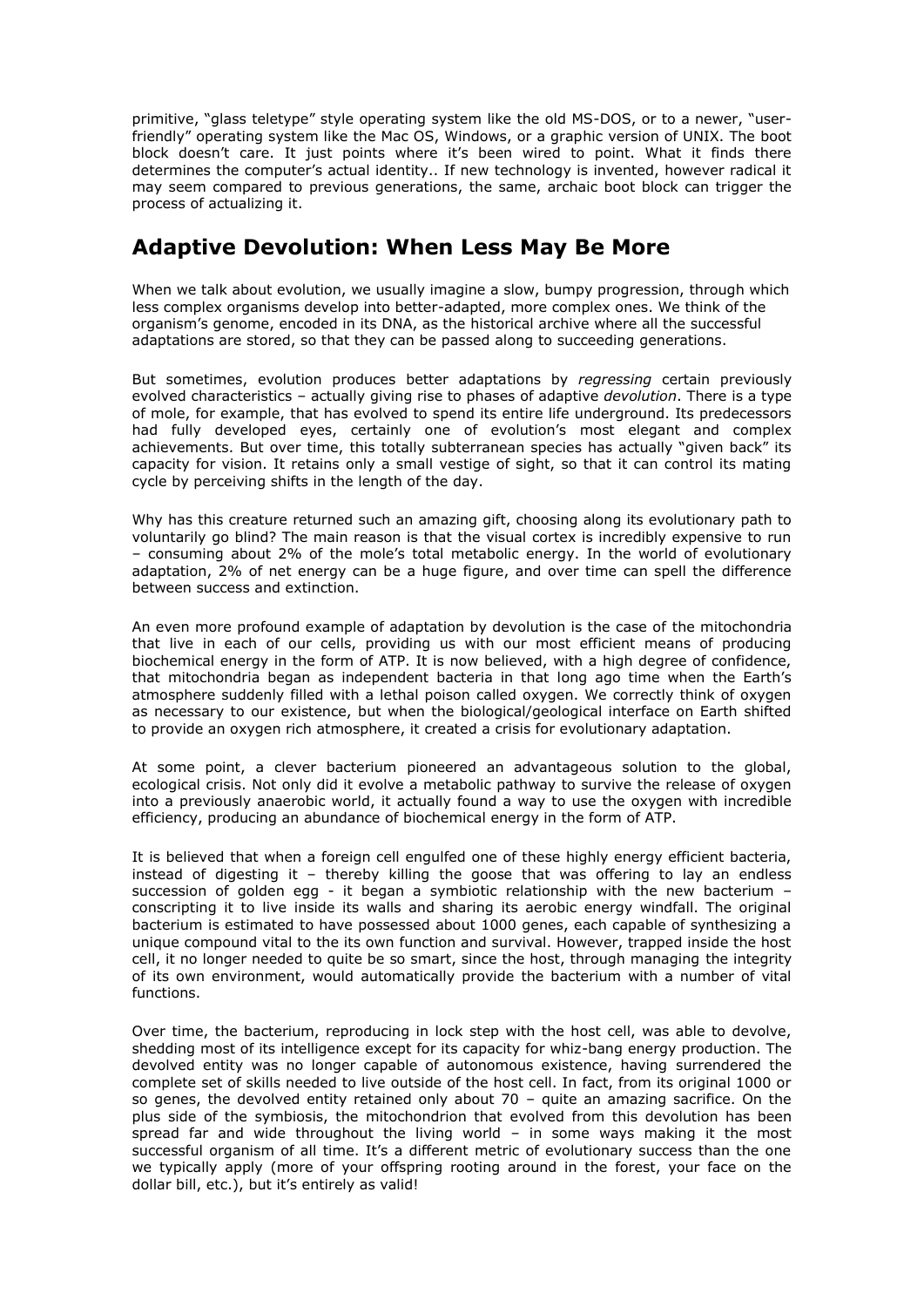primitive, "glass teletype" style operating system like the old MS-DOS, or to a newer, "userfriendly" operating system like the Mac OS, Windows, or a graphic version of UNIX. The boot block doesn't care. It just points where it's been wired to point. What it finds there determines the computer's actual identity.. If new technology is invented, however radical it may seem compared to previous generations, the same, archaic boot block can trigger the process of actualizing it.

#### **Adaptive Devolution: When Less May Be More**

When we talk about evolution, we usually imagine a slow, bumpy progression, through which less complex organisms develop into better-adapted, more complex ones. We think of the organism's genome, encoded in its DNA, as the historical archive where all the successful adaptations are stored, so that they can be passed along to succeeding generations.

But sometimes, evolution produces better adaptations by *regressing* certain previously evolved characteristics – actually giving rise to phases of adaptive *devolution*. There is a type of mole, for example, that has evolved to spend its entire life underground. Its predecessors had fully developed eyes, certainly one of evolution's most elegant and complex achievements. But over time, this totally subterranean species has actually "given back" its capacity for vision. It retains only a small vestige of sight, so that it can control its mating cycle by perceiving shifts in the length of the day.

Why has this creature returned such an amazing gift, choosing along its evolutionary path to voluntarily go blind? The main reason is that the visual cortex is incredibly expensive to run – consuming about 2% of the mole's total metabolic energy. In the world of evolutionary adaptation, 2% of net energy can be a huge figure, and over time can spell the difference between success and extinction.

An even more profound example of adaptation by devolution is the case of the mitochondria that live in each of our cells, providing us with our most efficient means of producing biochemical energy in the form of ATP. It is now believed, with a high degree of confidence, that mitochondria began as independent bacteria in that long ago time when the Earth's atmosphere suddenly filled with a lethal poison called oxygen. We correctly think of oxygen as necessary to our existence, but when the biological/geological interface on Earth shifted to provide an oxygen rich atmosphere, it created a crisis for evolutionary adaptation.

At some point, a clever bacterium pioneered an advantageous solution to the global, ecological crisis. Not only did it evolve a metabolic pathway to survive the release of oxygen into a previously anaerobic world, it actually found a way to use the oxygen with incredible efficiency, producing an abundance of biochemical energy in the form of ATP.

It is believed that when a foreign cell engulfed one of these highly energy efficient bacteria, instead of digesting it – thereby killing the goose that was offering to lay an endless succession of golden egg - it began a symbiotic relationship with the new bacterium – conscripting it to live inside its walls and sharing its aerobic energy windfall. The original bacterium is estimated to have possessed about 1000 genes, each capable of synthesizing a unique compound vital to the its own function and survival. However, trapped inside the host cell, it no longer needed to quite be so smart, since the host, through managing the integrity of its own environment, would automatically provide the bacterium with a number of vital functions.

Over time, the bacterium, reproducing in lock step with the host cell, was able to devolve, shedding most of its intelligence except for its capacity for whiz-bang energy production. The devolved entity was no longer capable of autonomous existence, having surrendered the complete set of skills needed to live outside of the host cell. In fact, from its original 1000 or so genes, the devolved entity retained only about 70 – quite an amazing sacrifice. On the plus side of the symbiosis, the mitochondrion that evolved from this devolution has been spread far and wide throughout the living world – in some ways making it the most successful organism of all time. It's a different metric of evolutionary success than the one we typically apply (more of your offspring rooting around in the forest, your face on the dollar bill, etc.), but it's entirely as valid!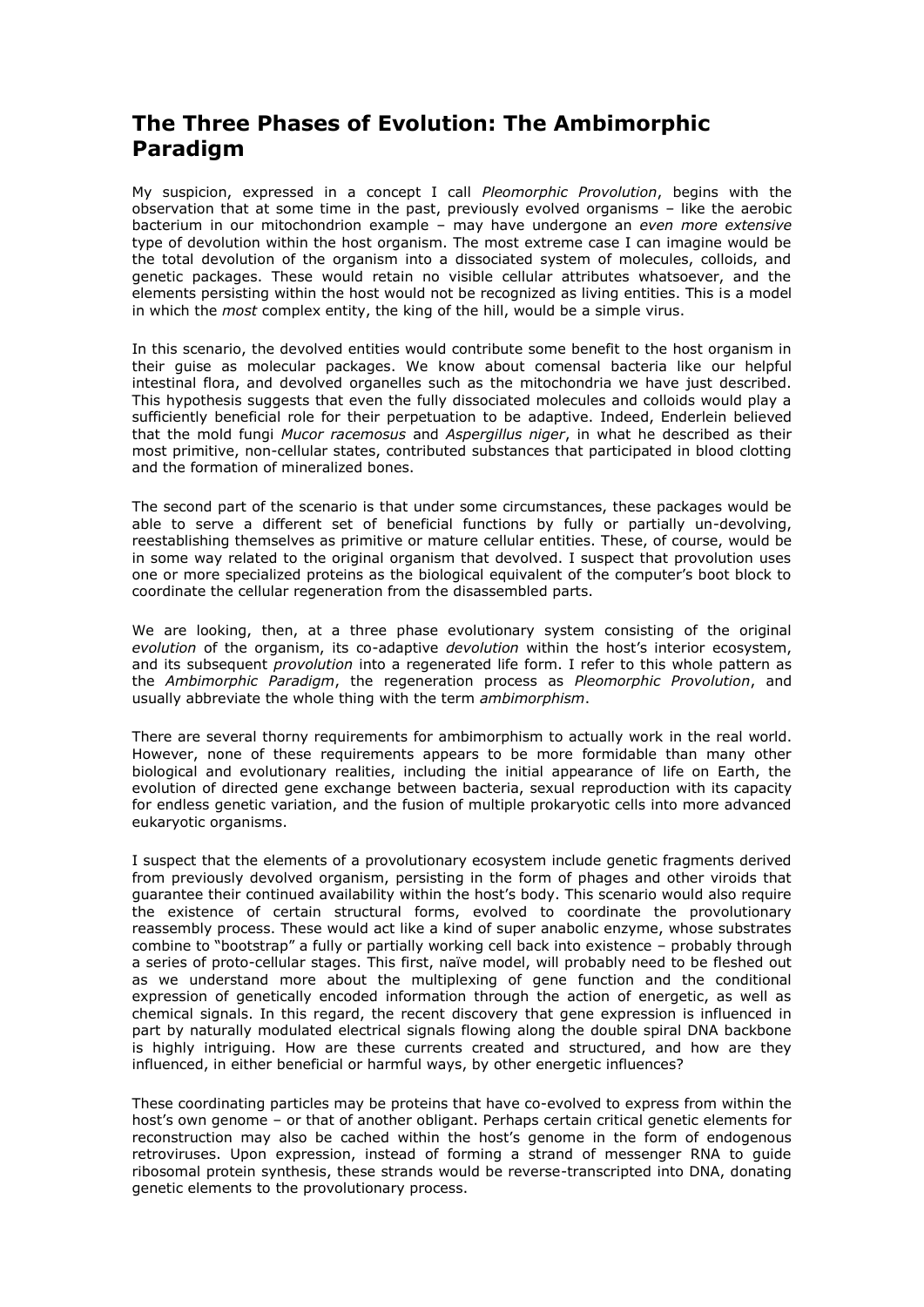### **The Three Phases of Evolution: The Ambimorphic Paradigm**

My suspicion, expressed in a concept I call *Pleomorphic Provolution*, begins with the observation that at some time in the past, previously evolved organisms – like the aerobic bacterium in our mitochondrion example – may have undergone an *even more extensive* type of devolution within the host organism. The most extreme case I can imagine would be the total devolution of the organism into a dissociated system of molecules, colloids, and genetic packages. These would retain no visible cellular attributes whatsoever, and the elements persisting within the host would not be recognized as living entities. This is a model in which the *most* complex entity, the king of the hill, would be a simple virus.

In this scenario, the devolved entities would contribute some benefit to the host organism in their guise as molecular packages. We know about comensal bacteria like our helpful intestinal flora, and devolved organelles such as the mitochondria we have just described. This hypothesis suggests that even the fully dissociated molecules and colloids would play a sufficiently beneficial role for their perpetuation to be adaptive. Indeed, Enderlein believed that the mold fungi *Mucor racemosus* and *Aspergillus niger*, in what he described as their most primitive, non-cellular states, contributed substances that participated in blood clotting and the formation of mineralized bones.

The second part of the scenario is that under some circumstances, these packages would be able to serve a different set of beneficial functions by fully or partially un-devolving, reestablishing themselves as primitive or mature cellular entities. These, of course, would be in some way related to the original organism that devolved. I suspect that provolution uses one or more specialized proteins as the biological equivalent of the computer's boot block to coordinate the cellular regeneration from the disassembled parts.

We are looking, then, at a three phase evolutionary system consisting of the original *evolution* of the organism, its co-adaptive *devolution* within the host's interior ecosystem, and its subsequent *provolution* into a regenerated life form. I refer to this whole pattern as the *Ambimorphic Paradigm*, the regeneration process as *Pleomorphic Provolution*, and usually abbreviate the whole thing with the term *ambimorphism*.

There are several thorny requirements for ambimorphism to actually work in the real world. However, none of these requirements appears to be more formidable than many other biological and evolutionary realities, including the initial appearance of life on Earth, the evolution of directed gene exchange between bacteria, sexual reproduction with its capacity for endless genetic variation, and the fusion of multiple prokaryotic cells into more advanced eukaryotic organisms.

I suspect that the elements of a provolutionary ecosystem include genetic fragments derived from previously devolved organism, persisting in the form of phages and other viroids that guarantee their continued availability within the host's body. This scenario would also require the existence of certain structural forms, evolved to coordinate the provolutionary reassembly process. These would act like a kind of super anabolic enzyme, whose substrates combine to "bootstrap" a fully or partially working cell back into existence – probably through a series of proto-cellular stages. This first, naïve model, will probably need to be fleshed out as we understand more about the multiplexing of gene function and the conditional expression of genetically encoded information through the action of energetic, as well as chemical signals. In this regard, the recent discovery that gene expression is influenced in part by naturally modulated electrical signals flowing along the double spiral DNA backbone is highly intriguing. How are these currents created and structured, and how are they influenced, in either beneficial or harmful ways, by other energetic influences?

These coordinating particles may be proteins that have co-evolved to express from within the host's own genome – or that of another obligant. Perhaps certain critical genetic elements for reconstruction may also be cached within the host's genome in the form of endogenous retroviruses. Upon expression, instead of forming a strand of messenger RNA to guide ribosomal protein synthesis, these strands would be reverse-transcripted into DNA, donating genetic elements to the provolutionary process.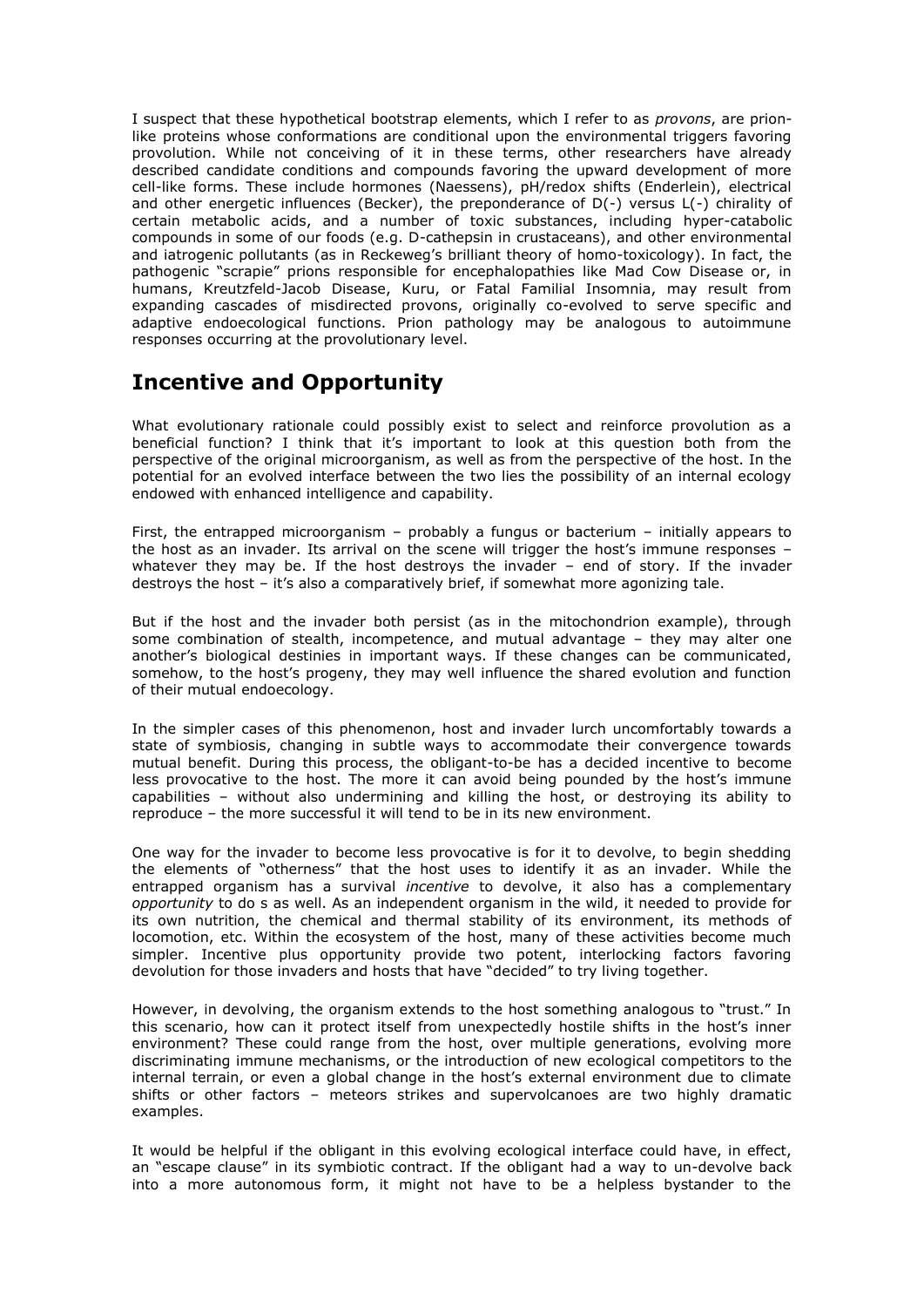I suspect that these hypothetical bootstrap elements, which I refer to as *provons*, are prionlike proteins whose conformations are conditional upon the environmental triggers favoring provolution. While not conceiving of it in these terms, other researchers have already described candidate conditions and compounds favoring the upward development of more cell-like forms. These include hormones (Naessens), pH/redox shifts (Enderlein), electrical and other energetic influences (Becker), the preponderance of  $D(-)$  versus  $L(-)$  chirality of certain metabolic acids, and a number of toxic substances, including hyper-catabolic compounds in some of our foods (e.g. D-cathepsin in crustaceans), and other environmental and iatrogenic pollutants (as in Reckeweg's brilliant theory of homo-toxicology). In fact, the pathogenic "scrapie" prions responsible for encephalopathies like Mad Cow Disease or, in humans, Kreutzfeld-Jacob Disease, Kuru, or Fatal Familial Insomnia, may result from expanding cascades of misdirected provons, originally co-evolved to serve specific and adaptive endoecological functions. Prion pathology may be analogous to autoimmune responses occurring at the provolutionary level.

### **Incentive and Opportunity**

What evolutionary rationale could possibly exist to select and reinforce provolution as a beneficial function? I think that it's important to look at this question both from the perspective of the original microorganism, as well as from the perspective of the host. In the potential for an evolved interface between the two lies the possibility of an internal ecology endowed with enhanced intelligence and capability.

First, the entrapped microorganism – probably a fungus or bacterium – initially appears to the host as an invader. Its arrival on the scene will trigger the host's immune responses – whatever they may be. If the host destroys the invader – end of story. If the invader destroys the host – it's also a comparatively brief, if somewhat more agonizing tale.

But if the host and the invader both persist (as in the mitochondrion example), through some combination of stealth, incompetence, and mutual advantage – they may alter one another's biological destinies in important ways. If these changes can be communicated, somehow, to the host's progeny, they may well influence the shared evolution and function of their mutual endoecology.

In the simpler cases of this phenomenon, host and invader lurch uncomfortably towards a state of symbiosis, changing in subtle ways to accommodate their convergence towards mutual benefit. During this process, the obligant-to-be has a decided incentive to become less provocative to the host. The more it can avoid being pounded by the host's immune capabilities – without also undermining and killing the host, or destroying its ability to reproduce – the more successful it will tend to be in its new environment.

One way for the invader to become less provocative is for it to devolve, to begin shedding the elements of "otherness" that the host uses to identify it as an invader. While the entrapped organism has a survival *incentive* to devolve, it also has a complementary *opportunity* to do s as well. As an independent organism in the wild, it needed to provide for its own nutrition, the chemical and thermal stability of its environment, its methods of locomotion, etc. Within the ecosystem of the host, many of these activities become much simpler. Incentive plus opportunity provide two potent, interlocking factors favoring devolution for those invaders and hosts that have "decided" to try living together.

However, in devolving, the organism extends to the host something analogous to "trust." In this scenario, how can it protect itself from unexpectedly hostile shifts in the host's inner environment? These could range from the host, over multiple generations, evolving more discriminating immune mechanisms, or the introduction of new ecological competitors to the internal terrain, or even a global change in the host's external environment due to climate shifts or other factors – meteors strikes and supervolcanoes are two highly dramatic examples.

It would be helpful if the obligant in this evolving ecological interface could have, in effect, an "escape clause" in its symbiotic contract. If the obligant had a way to un-devolve back into a more autonomous form, it might not have to be a helpless bystander to the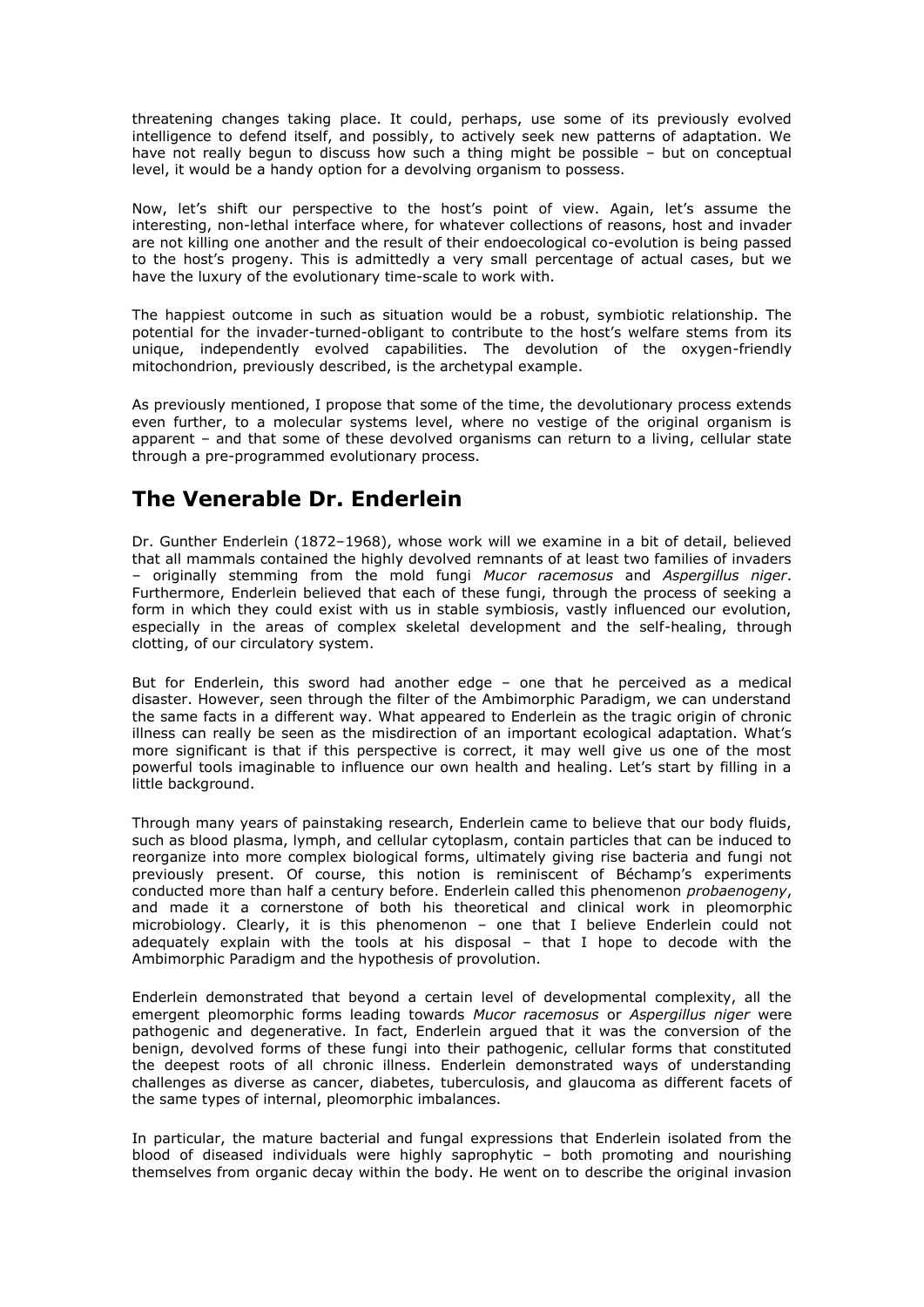threatening changes taking place. It could, perhaps, use some of its previously evolved intelligence to defend itself, and possibly, to actively seek new patterns of adaptation. We have not really begun to discuss how such a thing might be possible – but on conceptual level, it would be a handy option for a devolving organism to possess.

Now, let's shift our perspective to the host's point of view. Again, let's assume the interesting, non-lethal interface where, for whatever collections of reasons, host and invader are not killing one another and the result of their endoecological co-evolution is being passed to the host's progeny. This is admittedly a very small percentage of actual cases, but we have the luxury of the evolutionary time-scale to work with.

The happiest outcome in such as situation would be a robust, symbiotic relationship. The potential for the invader-turned-obligant to contribute to the host's welfare stems from its unique, independently evolved capabilities. The devolution of the oxygen-friendly mitochondrion, previously described, is the archetypal example.

As previously mentioned, I propose that some of the time, the devolutionary process extends even further, to a molecular systems level, where no vestige of the original organism is apparent – and that some of these devolved organisms can return to a living, cellular state through a pre-programmed evolutionary process.

### **The Venerable Dr. Enderlein**

Dr. Gunther Enderlein (1872–1968), whose work will we examine in a bit of detail, believed that all mammals contained the highly devolved remnants of at least two families of invaders – originally stemming from the mold fungi *Mucor racemosus* and *Aspergillus niger*. Furthermore, Enderlein believed that each of these fungi, through the process of seeking a form in which they could exist with us in stable symbiosis, vastly influenced our evolution, especially in the areas of complex skeletal development and the self-healing, through clotting, of our circulatory system.

But for Enderlein, this sword had another edge – one that he perceived as a medical disaster. However, seen through the filter of the Ambimorphic Paradigm, we can understand the same facts in a different way. What appeared to Enderlein as the tragic origin of chronic illness can really be seen as the misdirection of an important ecological adaptation. What's more significant is that if this perspective is correct, it may well give us one of the most powerful tools imaginable to influence our own health and healing. Let's start by filling in a little background.

Through many years of painstaking research, Enderlein came to believe that our body fluids, such as blood plasma, lymph, and cellular cytoplasm, contain particles that can be induced to reorganize into more complex biological forms, ultimately giving rise bacteria and fungi not previously present. Of course, this notion is reminiscent of Béchamp's experiments conducted more than half a century before. Enderlein called this phenomenon *probaenogeny*, and made it a cornerstone of both his theoretical and clinical work in pleomorphic microbiology. Clearly, it is this phenomenon – one that I believe Enderlein could not adequately explain with the tools at his disposal – that I hope to decode with the Ambimorphic Paradigm and the hypothesis of provolution.

Enderlein demonstrated that beyond a certain level of developmental complexity, all the emergent pleomorphic forms leading towards *Mucor racemosus* or *Aspergillus niger* were pathogenic and degenerative. In fact, Enderlein argued that it was the conversion of the benign, devolved forms of these fungi into their pathogenic, cellular forms that constituted the deepest roots of all chronic illness. Enderlein demonstrated ways of understanding challenges as diverse as cancer, diabetes, tuberculosis, and glaucoma as different facets of the same types of internal, pleomorphic imbalances.

In particular, the mature bacterial and fungal expressions that Enderlein isolated from the blood of diseased individuals were highly saprophytic – both promoting and nourishing themselves from organic decay within the body. He went on to describe the original invasion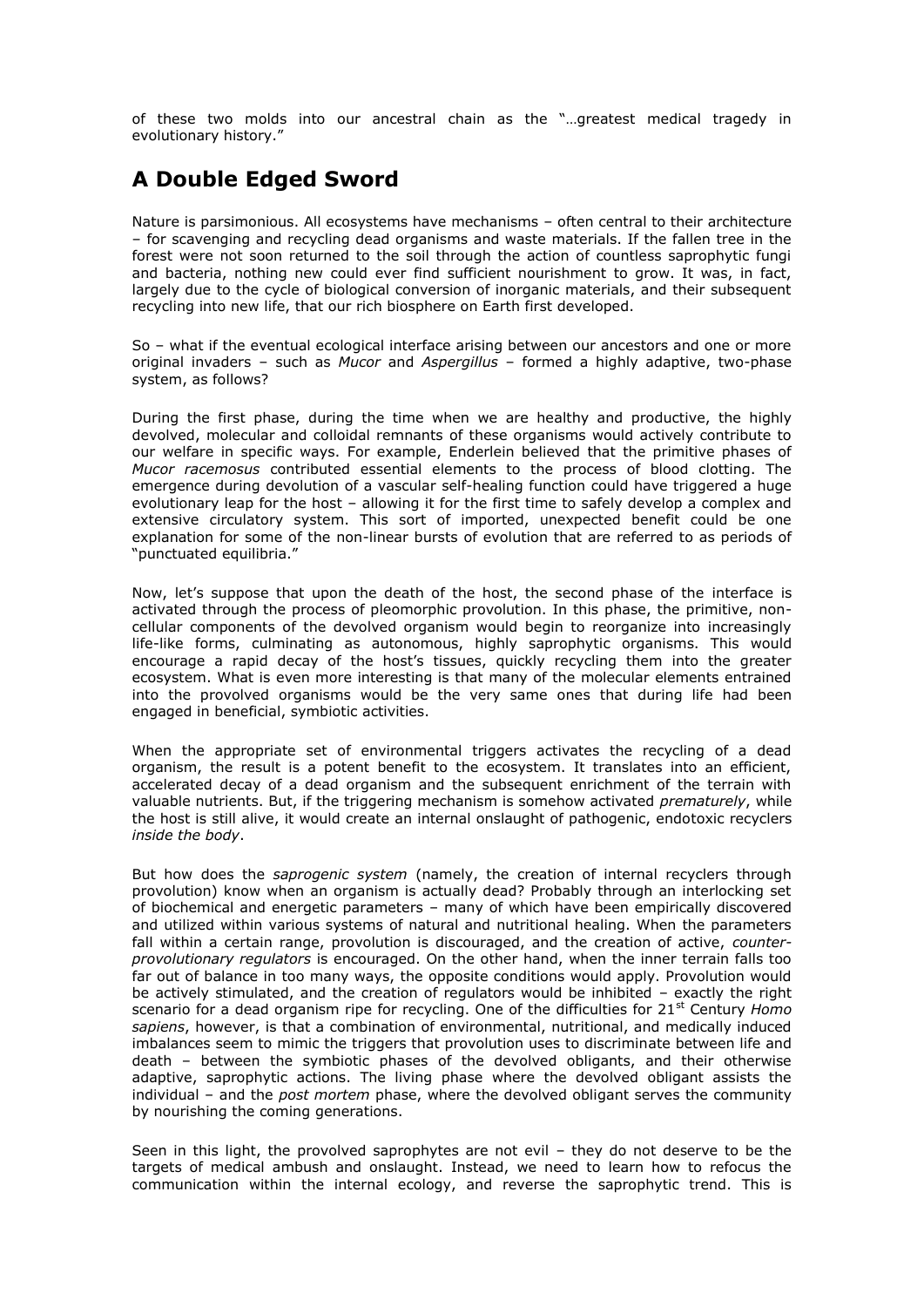of these two molds into our ancestral chain as the "…greatest medical tragedy in evolutionary history."

## **A Double Edged Sword**

Nature is parsimonious. All ecosystems have mechanisms – often central to their architecture – for scavenging and recycling dead organisms and waste materials. If the fallen tree in the forest were not soon returned to the soil through the action of countless saprophytic fungi and bacteria, nothing new could ever find sufficient nourishment to grow. It was, in fact, largely due to the cycle of biological conversion of inorganic materials, and their subsequent recycling into new life, that our rich biosphere on Earth first developed.

So – what if the eventual ecological interface arising between our ancestors and one or more original invaders – such as *Mucor* and *Aspergillus* – formed a highly adaptive, two-phase system, as follows?

During the first phase, during the time when we are healthy and productive, the highly devolved, molecular and colloidal remnants of these organisms would actively contribute to our welfare in specific ways. For example, Enderlein believed that the primitive phases of *Mucor racemosus* contributed essential elements to the process of blood clotting. The emergence during devolution of a vascular self-healing function could have triggered a huge evolutionary leap for the host – allowing it for the first time to safely develop a complex and extensive circulatory system. This sort of imported, unexpected benefit could be one explanation for some of the non-linear bursts of evolution that are referred to as periods of "punctuated equilibria."

Now, let's suppose that upon the death of the host, the second phase of the interface is activated through the process of pleomorphic provolution. In this phase, the primitive, noncellular components of the devolved organism would begin to reorganize into increasingly life-like forms, culminating as autonomous, highly saprophytic organisms. This would encourage a rapid decay of the host's tissues, quickly recycling them into the greater ecosystem. What is even more interesting is that many of the molecular elements entrained into the provolved organisms would be the very same ones that during life had been engaged in beneficial, symbiotic activities.

When the appropriate set of environmental triggers activates the recycling of a dead organism, the result is a potent benefit to the ecosystem. It translates into an efficient, accelerated decay of a dead organism and the subsequent enrichment of the terrain with valuable nutrients. But, if the triggering mechanism is somehow activated *prematurely*, while the host is still alive, it would create an internal onslaught of pathogenic, endotoxic recyclers *inside the body*.

But how does the *saprogenic system* (namely, the creation of internal recyclers through provolution) know when an organism is actually dead? Probably through an interlocking set of biochemical and energetic parameters – many of which have been empirically discovered and utilized within various systems of natural and nutritional healing. When the parameters fall within a certain range, provolution is discouraged, and the creation of active, *counterprovolutionary regulators* is encouraged. On the other hand, when the inner terrain falls too far out of balance in too many ways, the opposite conditions would apply. Provolution would be actively stimulated, and the creation of regulators would be inhibited – exactly the right scenario for a dead organism ripe for recycling. One of the difficulties for 21st Century *Homo sapiens*, however, is that a combination of environmental, nutritional, and medically induced imbalances seem to mimic the triggers that provolution uses to discriminate between life and death – between the symbiotic phases of the devolved obligants, and their otherwise adaptive, saprophytic actions. The living phase where the devolved obligant assists the individual – and the *post mortem* phase, where the devolved obligant serves the community by nourishing the coming generations.

Seen in this light, the provolved saprophytes are not evil – they do not deserve to be the targets of medical ambush and onslaught. Instead, we need to learn how to refocus the communication within the internal ecology, and reverse the saprophytic trend. This is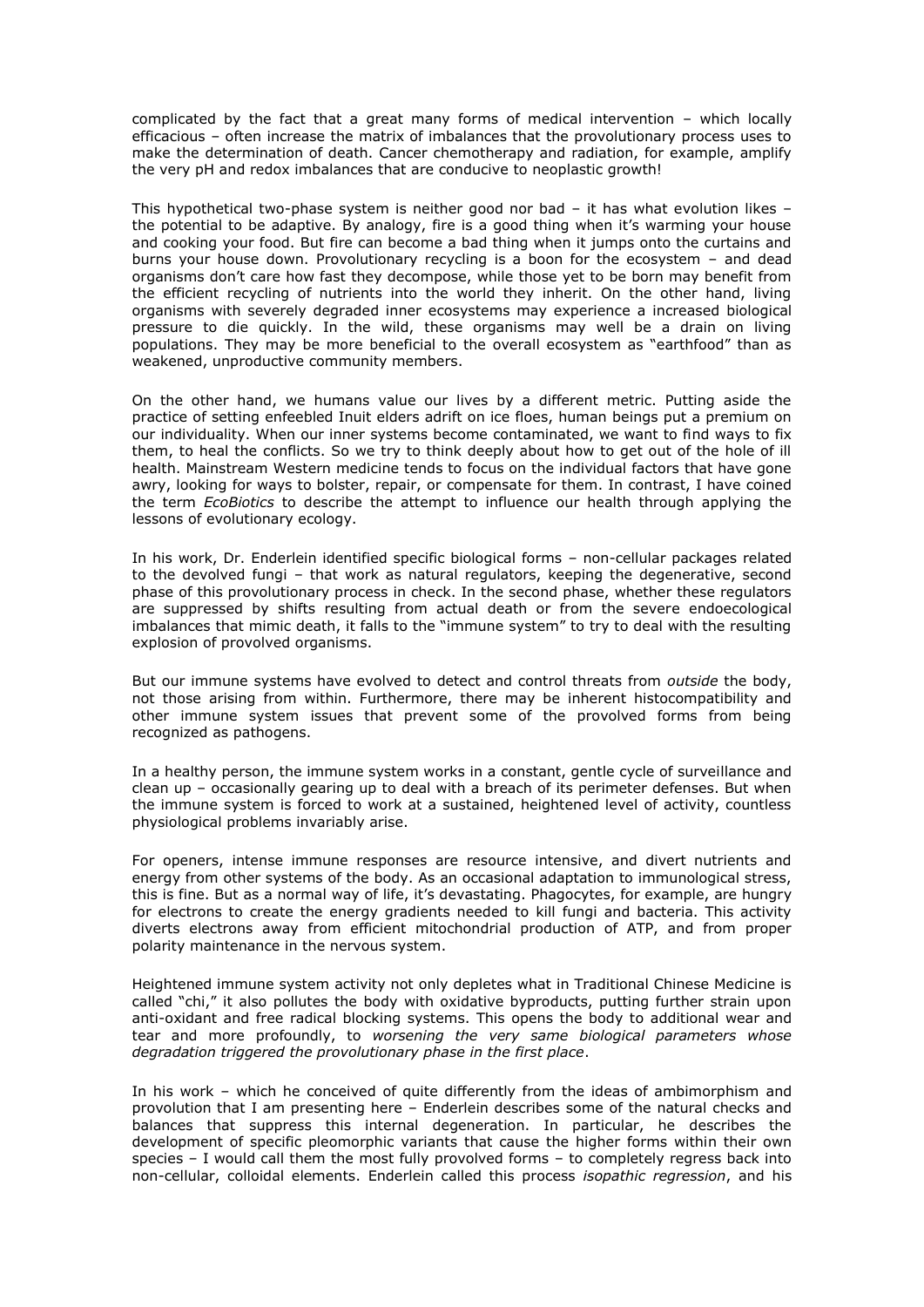complicated by the fact that a great many forms of medical intervention – which locally efficacious – often increase the matrix of imbalances that the provolutionary process uses to make the determination of death. Cancer chemotherapy and radiation, for example, amplify the very pH and redox imbalances that are conducive to neoplastic growth!

This hypothetical two-phase system is neither good nor bad  $-$  it has what evolution likes  $\cdot$ the potential to be adaptive. By analogy, fire is a good thing when it's warming your house and cooking your food. But fire can become a bad thing when it jumps onto the curtains and burns your house down. Provolutionary recycling is a boon for the ecosystem – and dead organisms don't care how fast they decompose, while those yet to be born may benefit from the efficient recycling of nutrients into the world they inherit. On the other hand, living organisms with severely degraded inner ecosystems may experience a increased biological pressure to die quickly. In the wild, these organisms may well be a drain on living populations. They may be more beneficial to the overall ecosystem as "earthfood" than as weakened, unproductive community members.

On the other hand, we humans value our lives by a different metric. Putting aside the practice of setting enfeebled Inuit elders adrift on ice floes, human beings put a premium on our individuality. When our inner systems become contaminated, we want to find ways to fix them, to heal the conflicts. So we try to think deeply about how to get out of the hole of ill health. Mainstream Western medicine tends to focus on the individual factors that have gone awry, looking for ways to bolster, repair, or compensate for them. In contrast, I have coined the term *EcoBiotics* to describe the attempt to influence our health through applying the lessons of evolutionary ecology.

In his work, Dr. Enderlein identified specific biological forms – non-cellular packages related to the devolved fungi – that work as natural regulators, keeping the degenerative, second phase of this provolutionary process in check. In the second phase, whether these regulators are suppressed by shifts resulting from actual death or from the severe endoecological imbalances that mimic death, it falls to the "immune system" to try to deal with the resulting explosion of provolved organisms.

But our immune systems have evolved to detect and control threats from *outside* the body, not those arising from within. Furthermore, there may be inherent histocompatibility and other immune system issues that prevent some of the provolved forms from being recognized as pathogens.

In a healthy person, the immune system works in a constant, gentle cycle of surveillance and clean up – occasionally gearing up to deal with a breach of its perimeter defenses. But when the immune system is forced to work at a sustained, heightened level of activity, countless physiological problems invariably arise.

For openers, intense immune responses are resource intensive, and divert nutrients and energy from other systems of the body. As an occasional adaptation to immunological stress, this is fine. But as a normal way of life, it's devastating. Phagocytes, for example, are hungry for electrons to create the energy gradients needed to kill fungi and bacteria. This activity diverts electrons away from efficient mitochondrial production of ATP, and from proper polarity maintenance in the nervous system.

Heightened immune system activity not only depletes what in Traditional Chinese Medicine is called "chi," it also pollutes the body with oxidative byproducts, putting further strain upon anti-oxidant and free radical blocking systems. This opens the body to additional wear and tear and more profoundly, to *worsening the very same biological parameters whose degradation triggered the provolutionary phase in the first place*.

In his work – which he conceived of quite differently from the ideas of ambimorphism and provolution that I am presenting here – Enderlein describes some of the natural checks and balances that suppress this internal degeneration. In particular, he describes the development of specific pleomorphic variants that cause the higher forms within their own species – I would call them the most fully provolved forms – to completely regress back into non-cellular, colloidal elements. Enderlein called this process *isopathic regression*, and his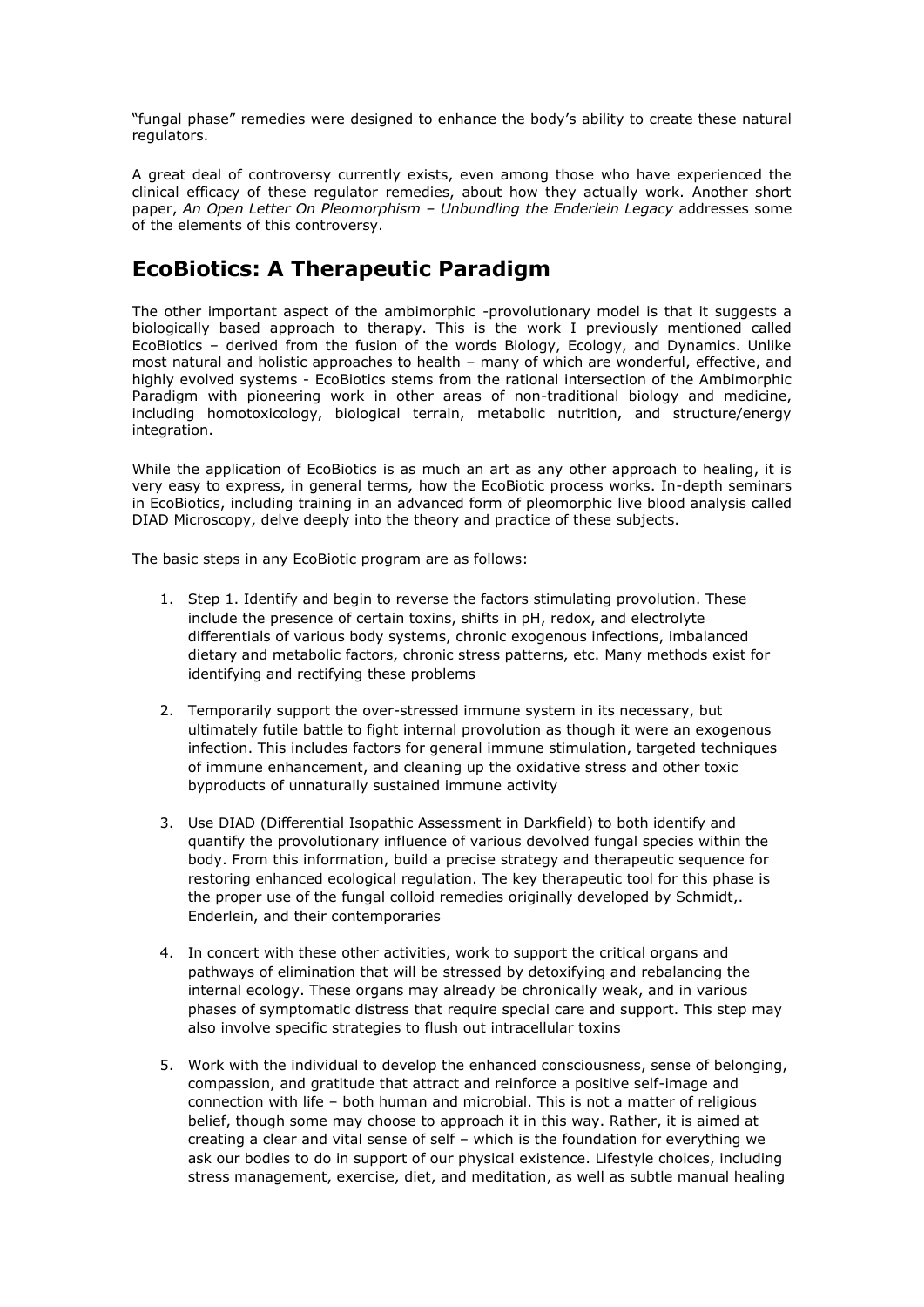"fungal phase" remedies were designed to enhance the body's ability to create these natural regulators.

A great deal of controversy currently exists, even among those who have experienced the clinical efficacy of these regulator remedies, about how they actually work. Another short paper, *An Open Letter On Pleomorphism – Unbundling the Enderlein Legacy* addresses some of the elements of this controversy.

### **EcoBiotics: A Therapeutic Paradigm**

The other important aspect of the ambimorphic -provolutionary model is that it suggests a biologically based approach to therapy. This is the work I previously mentioned called EcoBiotics – derived from the fusion of the words Biology, Ecology, and Dynamics. Unlike most natural and holistic approaches to health – many of which are wonderful, effective, and highly evolved systems - EcoBiotics stems from the rational intersection of the Ambimorphic Paradigm with pioneering work in other areas of non-traditional biology and medicine, including homotoxicology, biological terrain, metabolic nutrition, and structure/energy integration.

While the application of EcoBiotics is as much an art as any other approach to healing, it is very easy to express, in general terms, how the EcoBiotic process works. In-depth seminars in EcoBiotics, including training in an advanced form of pleomorphic live blood analysis called DIAD Microscopy, delve deeply into the theory and practice of these subjects.

The basic steps in any EcoBiotic program are as follows:

- 1. Step 1. Identify and begin to reverse the factors stimulating provolution. These include the presence of certain toxins, shifts in pH, redox, and electrolyte differentials of various body systems, chronic exogenous infections, imbalanced dietary and metabolic factors, chronic stress patterns, etc. Many methods exist for identifying and rectifying these problems
- 2. Temporarily support the over-stressed immune system in its necessary, but ultimately futile battle to fight internal provolution as though it were an exogenous infection. This includes factors for general immune stimulation, targeted techniques of immune enhancement, and cleaning up the oxidative stress and other toxic byproducts of unnaturally sustained immune activity
- 3. Use DIAD (Differential Isopathic Assessment in Darkfield) to both identify and quantify the provolutionary influence of various devolved fungal species within the body. From this information, build a precise strategy and therapeutic sequence for restoring enhanced ecological regulation. The key therapeutic tool for this phase is the proper use of the fungal colloid remedies originally developed by Schmidt,. Enderlein, and their contemporaries
- 4. In concert with these other activities, work to support the critical organs and pathways of elimination that will be stressed by detoxifying and rebalancing the internal ecology. These organs may already be chronically weak, and in various phases of symptomatic distress that require special care and support. This step may also involve specific strategies to flush out intracellular toxins
- 5. Work with the individual to develop the enhanced consciousness, sense of belonging, compassion, and gratitude that attract and reinforce a positive self-image and connection with life – both human and microbial. This is not a matter of religious belief, though some may choose to approach it in this way. Rather, it is aimed at creating a clear and vital sense of self – which is the foundation for everything we ask our bodies to do in support of our physical existence. Lifestyle choices, including stress management, exercise, diet, and meditation, as well as subtle manual healing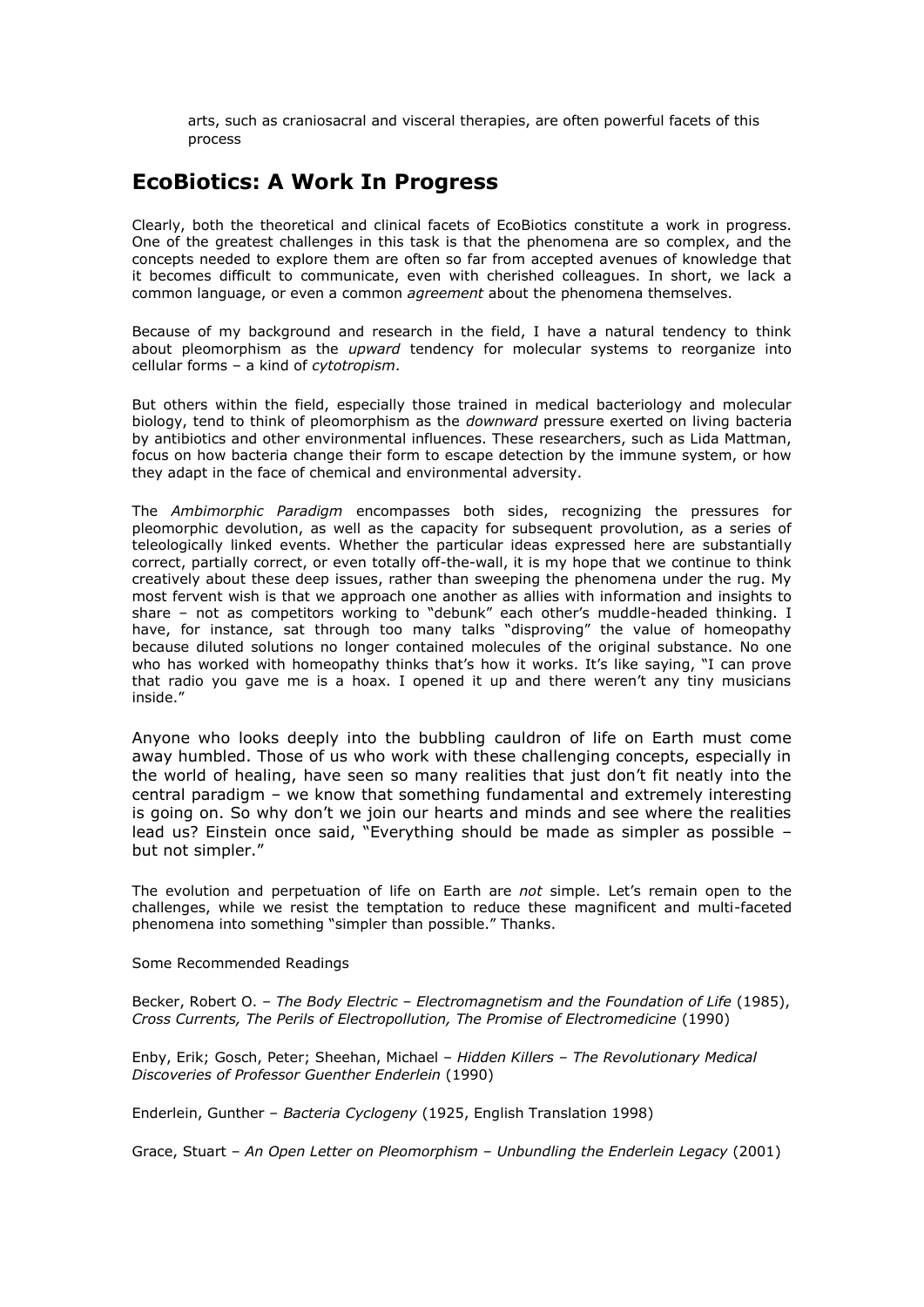arts, such as craniosacral and visceral therapies, are often powerful facets of this process

### **EcoBiotics: A Work In Progress**

Clearly, both the theoretical and clinical facets of EcoBiotics constitute a work in progress. One of the greatest challenges in this task is that the phenomena are so complex, and the concepts needed to explore them are often so far from accepted avenues of knowledge that it becomes difficult to communicate, even with cherished colleagues. In short, we lack a common language, or even a common *agreement* about the phenomena themselves.

Because of my background and research in the field, I have a natural tendency to think about pleomorphism as the *upward* tendency for molecular systems to reorganize into cellular forms – a kind of *cytotropism*.

But others within the field, especially those trained in medical bacteriology and molecular biology, tend to think of pleomorphism as the *downward* pressure exerted on living bacteria by antibiotics and other environmental influences. These researchers, such as Lida Mattman, focus on how bacteria change their form to escape detection by the immune system, or how they adapt in the face of chemical and environmental adversity.

The *Ambimorphic Paradigm* encompasses both sides, recognizing the pressures for pleomorphic devolution, as well as the capacity for subsequent provolution, as a series of teleologically linked events. Whether the particular ideas expressed here are substantially correct, partially correct, or even totally off-the-wall, it is my hope that we continue to think creatively about these deep issues, rather than sweeping the phenomena under the rug. My most fervent wish is that we approach one another as allies with information and insights to share – not as competitors working to "debunk" each other's muddle-headed thinking. I have, for instance, sat through too many talks "disproving" the value of homeopathy because diluted solutions no longer contained molecules of the original substance. No one who has worked with homeopathy thinks that's how it works. It's like saying, "I can prove that radio you gave me is a hoax. I opened it up and there weren't any tiny musicians inside."

Anyone who looks deeply into the bubbling cauldron of life on Earth must come away humbled. Those of us who work with these challenging concepts, especially in the world of healing, have seen so many realities that just don't fit neatly into the central paradigm – we know that something fundamental and extremely interesting is going on. So why don't we join our hearts and minds and see where the realities lead us? Einstein once said, "Everything should be made as simpler as possible – but not simpler."

The evolution and perpetuation of life on Earth are *not* simple. Let's remain open to the challenges, while we resist the temptation to reduce these magnificent and multi-faceted phenomena into something "simpler than possible." Thanks.

Some Recommended Readings

Becker, Robert O. – *The Body Electric – Electromagnetism and the Foundation of Life* (1985), *Cross Currents, The Perils of Electropollution, The Promise of Electromedicine* (1990)

Enby, Erik; Gosch, Peter; Sheehan, Michael – *Hidden Killers – The Revolutionary Medical Discoveries of Professor Guenther Enderlein* (1990)

Enderlein, Gunther – *Bacteria Cyclogeny* (1925, English Translation 1998)

Grace, Stuart – *An Open Letter on Pleomorphism – Unbundling the Enderlein Legacy* (2001)